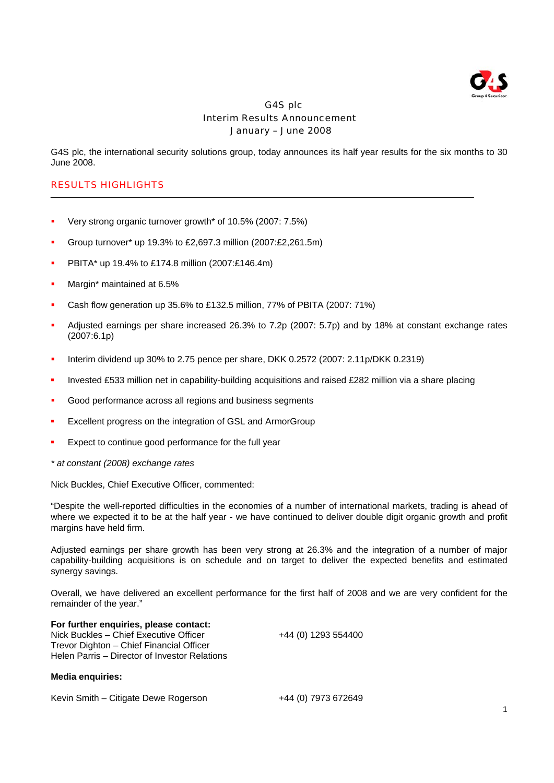

# G4S plc Interim Results Announcement January – June 2008

G4S plc, the international security solutions group, today announces its half year results for the six months to 30 June 2008.

# RESULTS HIGHLIGHTS

- Very strong organic turnover growth\* of 10.5% (2007: 7.5%)
- Group turnover\* up 19.3% to £2,697.3 million (2007:£2,261.5m)
- PBITA\* up 19.4% to £174.8 million (2007:£146.4m)
- Margin\* maintained at 6.5%
- Cash flow generation up 35.6% to £132.5 million, 77% of PBITA (2007: 71%)
- Adjusted earnings per share increased 26.3% to 7.2p (2007: 5.7p) and by 18% at constant exchange rates (2007:6.1p)
- Interim dividend up 30% to 2.75 pence per share, DKK 0.2572 (2007: 2.11p/DKK 0.2319)
- Invested £533 million net in capability-building acquisitions and raised £282 million via a share placing
- Good performance across all regions and business segments
- Excellent progress on the integration of GSL and ArmorGroup
- Expect to continue good performance for the full year
- *\* at constant (2008) exchange rates*

Nick Buckles, Chief Executive Officer, commented:

"Despite the well-reported difficulties in the economies of a number of international markets, trading is ahead of where we expected it to be at the half year - we have continued to deliver double digit organic growth and profit margins have held firm.

Adjusted earnings per share growth has been very strong at 26.3% and the integration of a number of major capability-building acquisitions is on schedule and on target to deliver the expected benefits and estimated synergy savings.

Overall, we have delivered an excellent performance for the first half of 2008 and we are very confident for the remainder of the year."

**For further enquiries, please contact:** Nick Buckles – Chief Executive Officer +44 (0) 1293 554400 Trevor Dighton – Chief Financial Officer Helen Parris – Director of Investor Relations

# **Media enquiries:**

Kevin Smith – Citigate Dewe Rogerson +44 (0) 7973 672649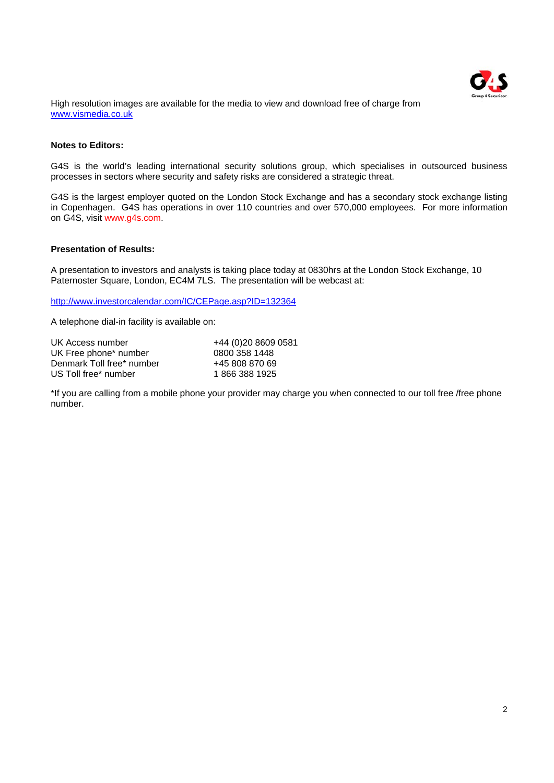

High resolution images are available for the media to view and download free of charge from www.vismedia.co.uk

# **Notes to Editors:**

G4S is the world's leading international security solutions group, which specialises in outsourced business processes in sectors where security and safety risks are considered a strategic threat.

G4S is the largest employer quoted on the London Stock Exchange and has a secondary stock exchange listing in Copenhagen. G4S has operations in over 110 countries and over 570,000 employees. For more information on G4S, visit www.g4s.com.

# **Presentation of Results:**

A presentation to investors and analysts is taking place today at 0830hrs at the London Stock Exchange, 10 Paternoster Square, London, EC4M 7LS. The presentation will be webcast at:

http://www.investorcalendar.com/IC/CEPage.asp?ID=132364

A telephone dial-in facility is available on:

| UK Access number          | +44 (0)20 8609 0581 |
|---------------------------|---------------------|
| UK Free phone* number     | 0800 358 1448       |
| Denmark Toll free* number | +45 808 870 69      |
| US Toll free* number      | 18663881925         |

\*If you are calling from a mobile phone your provider may charge you when connected to our toll free /free phone number.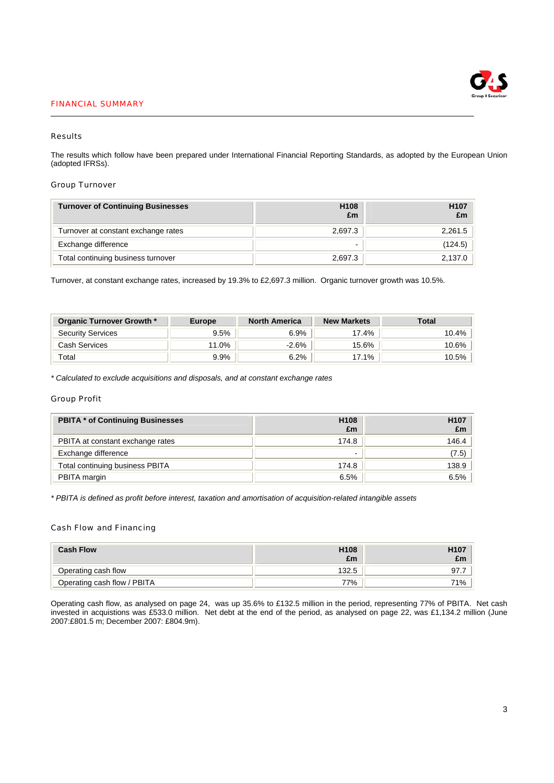## FINANCIAL SUMMARY



# Results

The results which follow have been prepared under International Financial Reporting Standards, as adopted by the European Union (adopted IFRSs).

### Group Turnover

| <b>Turnover of Continuing Businesses</b> | H <sub>108</sub><br>£m | H <sub>107</sub><br>£m |
|------------------------------------------|------------------------|------------------------|
| Turnover at constant exchange rates      | 2.697.3                | 2,261.5                |
| Exchange difference                      | -                      | (124.5)                |
| Total continuing business turnover       | 2.697.3                | 2,137.0                |

Turnover, at constant exchange rates, increased by 19.3% to £2,697.3 million. Organic turnover growth was 10.5%.

| Organic Turnover Growth * | Europe | <b>North America</b> | <b>New Markets</b> | Total |
|---------------------------|--------|----------------------|--------------------|-------|
| <b>Security Services</b>  | 9.5%   | 6.9%                 | 17.4%              | 10.4% |
| Cash Services             | 11.0%  | $-2.6%$              | 15.6%              | 10.6% |
| Total                     | 9.9%   | 6.2%                 | 17.1%              | 10.5% |

*\* Calculated to exclude acquisitions and disposals, and at constant exchange rates* 

## Group Profit

| <b>PBITA * of Continuing Businesses</b> | H <sub>108</sub><br>£m | H <sub>107</sub><br>£m |
|-----------------------------------------|------------------------|------------------------|
| PBITA at constant exchange rates        | 174.8                  | 146.4                  |
| Exchange difference                     |                        | (7.5)                  |
| Total continuing business PBITA         | 174.8                  | 138.9                  |
| PBITA margin                            | 6.5%                   | 6.5%                   |

*\* PBITA is defined as profit before interest, taxation and amortisation of acquisition-related intangible assets* 

# Cash Flow and Financing

| <b>Cash Flow</b>            | H <sub>108</sub><br>£m | H <sub>107</sub><br>£m |
|-----------------------------|------------------------|------------------------|
| Operating cash flow         | 132.5                  | 97.7                   |
| Operating cash flow / PBITA | 77%                    | 71%                    |

Operating cash flow, as analysed on page 24, was up 35.6% to £132.5 million in the period, representing 77% of PBITA. Net cash invested in acquistions was £533.0 million. Net debt at the end of the period, as analysed on page 22, was £1,134.2 million (June 2007:£801.5 m; December 2007: £804.9m).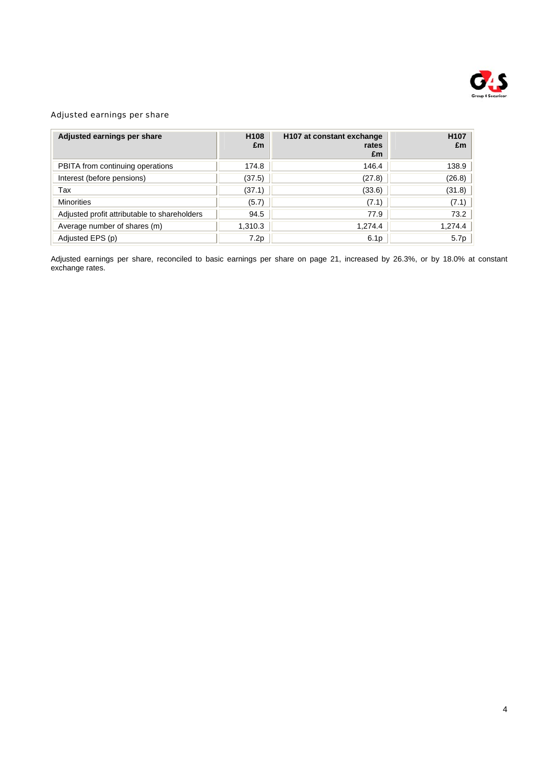

# Adjusted earnings per share

| Adjusted earnings per share                  | H <sub>108</sub><br>£m | H <sub>107</sub> at constant exchange<br>rates<br>£m | H <sub>107</sub><br>£m |
|----------------------------------------------|------------------------|------------------------------------------------------|------------------------|
| PBITA from continuing operations             | 174.8                  | 146.4                                                | 138.9                  |
| Interest (before pensions)                   | (37.5)                 | (27.8)                                               | (26.8)                 |
| Tax                                          | (37.1)                 | (33.6)                                               | (31.8)                 |
| <b>Minorities</b>                            | (5.7)                  | (7.1)                                                | (7.1)                  |
| Adjusted profit attributable to shareholders | 94.5                   | 77.9                                                 | 73.2                   |
| Average number of shares (m)                 | 1,310.3                | 1,274.4                                              | 1,274.4                |
| Adjusted EPS (p)                             | 7.2p                   | 6.1 <sub>p</sub>                                     | 5.7p                   |

Adjusted earnings per share, reconciled to basic earnings per share on page 21, increased by 26.3%, or by 18.0% at constant exchange rates.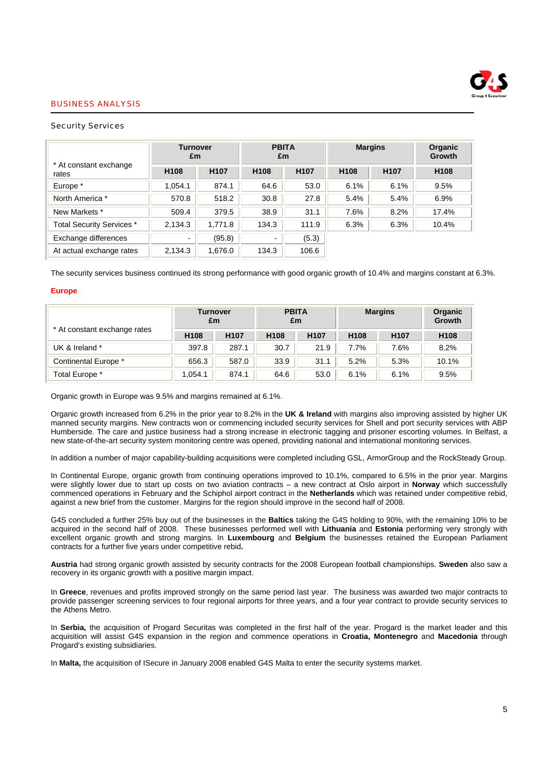

### BUSINESS ANALYSIS

### Security Services

|                                  | <b>Turnover</b><br>£m    |                  | <b>PBITA</b><br>£m |                  | <b>Margins</b>   | <b>Organic</b><br><b>Growth</b> |                  |
|----------------------------------|--------------------------|------------------|--------------------|------------------|------------------|---------------------------------|------------------|
| * At constant exchange<br>rates  | H <sub>108</sub>         | H <sub>107</sub> | H <sub>108</sub>   | H <sub>107</sub> | H <sub>108</sub> | H <sub>107</sub>                | H <sub>108</sub> |
| Europe *                         | 1.054.1                  | 874.1            | 64.6               | 53.0             | 6.1%             | 6.1%                            | 9.5%             |
| North America *                  | 570.8                    | 518.2            | 30.8               | 27.8             | 5.4%             | 5.4%                            | 6.9%             |
| New Markets *                    | 509.4                    | 379.5            | 38.9               | 31.1             | 7.6%             | 8.2%                            | 17.4%            |
| <b>Total Security Services *</b> | 2,134.3                  | 1,771.8          | 134.3              | 111.9            | 6.3%             | 6.3%                            | 10.4%            |
| Exchange differences             | $\overline{\phantom{a}}$ | (95.8)           | -                  | (5.3)            |                  |                                 |                  |
| At actual exchange rates         | 2,134.3                  | 1,676.0          | 134.3              | 106.6            |                  |                                 |                  |

The security services business continued its strong performance with good organic growth of 10.4% and margins constant at 6.3%.

### **Europe**

|                              | <b>Turnover</b><br>£m |                  | <b>PBITA</b><br>£m |                  | <b>Margins</b>   |                  | Organic<br>Growth |
|------------------------------|-----------------------|------------------|--------------------|------------------|------------------|------------------|-------------------|
| * At constant exchange rates | H <sub>108</sub>      | H <sub>107</sub> | H <sub>108</sub>   | H <sub>107</sub> | H <sub>108</sub> | H <sub>107</sub> | H <sub>108</sub>  |
| UK & Ireland *               | 397.8                 | 287.1            | 30.7               | 21.9             | 7.7%             | 7.6%             | 8.2%              |
| Continental Europe *         | 656.3                 | 587.0            | 33.9               | 31.1             | 5.2%             | 5.3%             | 10.1%             |
| Total Europe *               | 1.054.1               | 874.1            | 64.6               | 53.0             | 6.1%             | 6.1%             | 9.5%              |

Organic growth in Europe was 9.5% and margins remained at 6.1%.

Organic growth increased from 6.2% in the prior year to 8.2% in the **UK & Ireland** with margins also improving assisted by higher UK manned security margins. New contracts won or commencing included security services for Shell and port security services with ABP Humberside. The care and justice business had a strong increase in electronic tagging and prisoner escorting volumes. In Belfast, a new state-of-the-art security system monitoring centre was opened, providing national and international monitoring services.

In addition a number of major capability-building acquisitions were completed including GSL, ArmorGroup and the RockSteady Group.

In Continental Europe, organic growth from continuing operations improved to 10.1%, compared to 6.5% in the prior year. Margins were slightly lower due to start up costs on two aviation contracts – a new contract at Oslo airport in **Norway** which successfully commenced operations in February and the Schiphol airport contract in the **Netherlands** which was retained under competitive rebid, against a new brief from the customer. Margins for the region should improve in the second half of 2008.

G4S concluded a further 25% buy out of the businesses in the **Baltics** taking the G4S holding to 90%, with the remaining 10% to be acquired in the second half of 2008. These businesses performed well with **Lithuania** and **Estonia** performing very strongly with excellent organic growth and strong margins. In **Luxembourg** and **Belgium** the businesses retained the European Parliament contracts for a further five years under competitive rebid**.** 

**Austria** had strong organic growth assisted by security contracts for the 2008 European football championships. **Sweden** also saw a recovery in its organic growth with a positive margin impact.

In **Greece**, revenues and profits improved strongly on the same period last year. The business was awarded two major contracts to provide passenger screening services to four regional airports for three years, and a four year contract to provide security services to the Athens Metro.

In **Serbia,** the acquisition of Progard Securitas was completed in the first half of the year. Progard is the market leader and this acquisition will assist G4S expansion in the region and commence operations in **Croatia, Montenegro** and **Macedonia** through Progard's existing subsidiaries.

In **Malta,** the acquisition of ISecure in January 2008 enabled G4S Malta to enter the security systems market.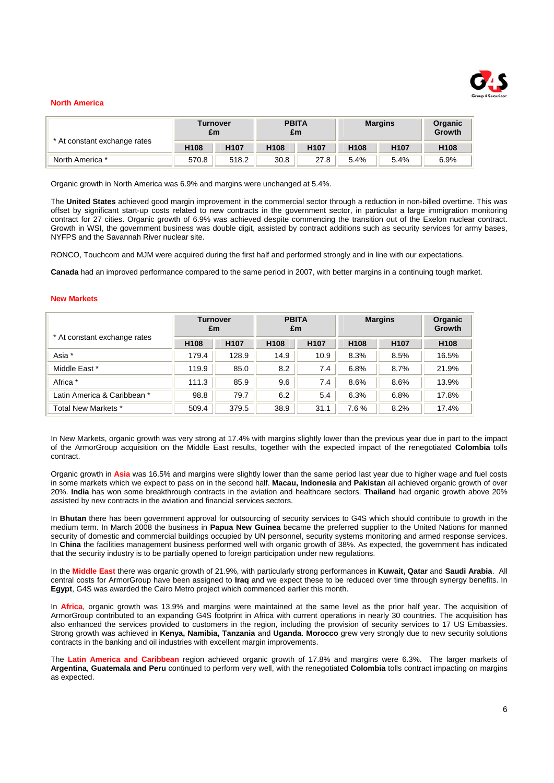

### **North America**

|                              | Turnover<br>£m   |                  | <b>PBITA</b><br>£m |                  | <b>Margins</b>   |                  | Organic<br>Growth |
|------------------------------|------------------|------------------|--------------------|------------------|------------------|------------------|-------------------|
| * At constant exchange rates | H <sub>108</sub> | H <sub>107</sub> | H <sub>108</sub>   | H <sub>107</sub> | H <sub>108</sub> | H <sub>107</sub> | H <sub>108</sub>  |
| North America *              | 570.8            | 518.2            | 30.8               | 27.8             | 5.4%             | 5.4%             | 6.9%              |

Organic growth in North America was 6.9% and margins were unchanged at 5.4%.

The **United States** achieved good margin improvement in the commercial sector through a reduction in non-billed overtime. This was offset by significant start-up costs related to new contracts in the government sector, in particular a large immigration monitoring contract for 27 cities. Organic growth of 6.9% was achieved despite commencing the transition out of the Exelon nuclear contract. Growth in WSI, the government business was double digit, assisted by contract additions such as security services for army bases, NYFPS and the Savannah River nuclear site.

RONCO, Touchcom and MJM were acquired during the first half and performed strongly and in line with our expectations.

**Canada** had an improved performance compared to the same period in 2007, with better margins in a continuing tough market.

#### **New Markets**

|                              | <b>Turnover</b><br>£m |                  | <b>PBITA</b><br>£m |                  | <b>Margins</b>   |                  | <b>Organic</b><br>Growth |
|------------------------------|-----------------------|------------------|--------------------|------------------|------------------|------------------|--------------------------|
| * At constant exchange rates | H <sub>108</sub>      | H <sub>107</sub> | H <sub>108</sub>   | H <sub>107</sub> | H <sub>108</sub> | H <sub>107</sub> | H <sub>108</sub>         |
| Asia *                       | 179.4                 | 128.9            | 14.9               | 10.9             | 8.3%             | 8.5%             | 16.5%                    |
| Middle East *                | 119.9                 | 85.0             | 8.2                | 7.4              | 6.8%             | 8.7%             | 21.9%                    |
| Africa *                     | 111.3                 | 85.9             | 9.6                | 7.4              | 8.6%             | 8.6%             | 13.9%                    |
| Latin America & Caribbean *  | 98.8                  | 79.7             | 6.2                | 5.4              | 6.3%             | 6.8%             | 17.8%                    |
| Total New Markets *          | 509.4                 | 379.5            | 38.9               | 31.1             | 7.6%             | 8.2%             | 17.4%                    |

In New Markets, organic growth was very strong at 17.4% with margins slightly lower than the previous year due in part to the impact of the ArmorGroup acquisition on the Middle East results, together with the expected impact of the renegotiated **Colombia** tolls contract.

Organic growth in **Asia** was 16.5% and margins were slightly lower than the same period last year due to higher wage and fuel costs in some markets which we expect to pass on in the second half. **Macau, Indonesia** and **Pakistan** all achieved organic growth of over 20%. **India** has won some breakthrough contracts in the aviation and healthcare sectors. **Thailand** had organic growth above 20% assisted by new contracts in the aviation and financial services sectors.

In **Bhutan** there has been government approval for outsourcing of security services to G4S which should contribute to growth in the medium term. In March 2008 the business in **Papua New Guinea** became the preferred supplier to the United Nations for manned security of domestic and commercial buildings occupied by UN personnel, security systems monitoring and armed response services. In **China** the facilities management business performed well with organic growth of 38%. As expected, the government has indicated that the security industry is to be partially opened to foreign participation under new regulations.

In the **Middle East** there was organic growth of 21.9%, with particularly strong performances in **Kuwait, Qatar** and **Saudi Arabia**. All central costs for ArmorGroup have been assigned to **Iraq** and we expect these to be reduced over time through synergy benefits. In **Egypt**, G4S was awarded the Cairo Metro project which commenced earlier this month.

In **Africa**, organic growth was 13.9% and margins were maintained at the same level as the prior half year. The acquisition of ArmorGroup contributed to an expanding G4S footprint in Africa with current operations in nearly 30 countries. The acquisition has also enhanced the services provided to customers in the region, including the provision of security services to 17 US Embassies. Strong growth was achieved in **Kenya, Namibia, Tanzania** and **Uganda**. **Morocco** grew very strongly due to new security solutions contracts in the banking and oil industries with excellent margin improvements.

The **Latin America and Caribbean** region achieved organic growth of 17.8% and margins were 6.3%. The larger markets of **Argentina**, **Guatemala and Peru** continued to perform very well, with the renegotiated **Colombia** tolls contract impacting on margins as expected.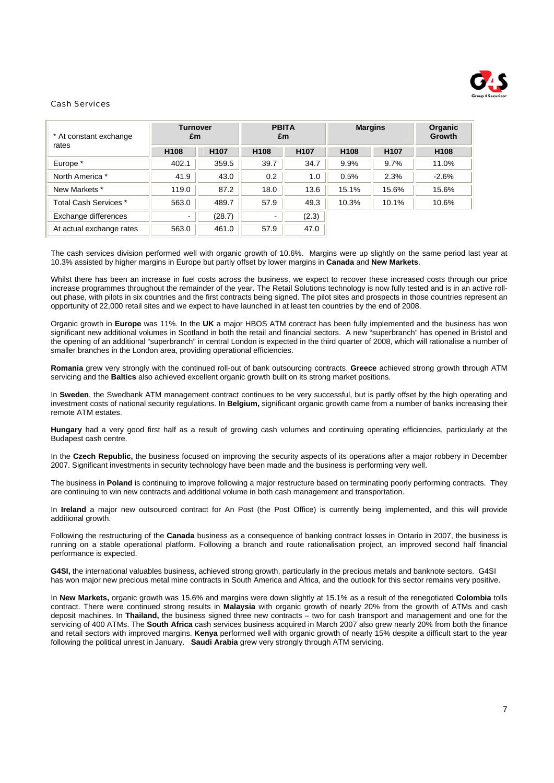

## Cash Services

| * At constant exchange<br>rates | <b>Turnover</b><br>£m |                  | <b>PBITA</b><br>£m       |                  | <b>Margins</b>   |                  | <b>Organic</b><br><b>Growth</b> |
|---------------------------------|-----------------------|------------------|--------------------------|------------------|------------------|------------------|---------------------------------|
|                                 | H <sub>108</sub>      | H <sub>107</sub> | H <sub>108</sub>         | H <sub>107</sub> | H <sub>108</sub> | H <sub>107</sub> | H <sub>108</sub>                |
| Europe *                        | 402.1                 | 359.5            | 39.7                     | 34.7             | 9.9%             | 9.7%             | 11.0%                           |
| North America *                 | 41.9                  | 43.0             | 0.2                      | 1.0              | 0.5%             | 2.3%             | $-2.6%$                         |
| New Markets *                   | 119.0                 | 87.2             | 18.0                     | 13.6             | 15.1%            | 15.6%            | 15.6%                           |
| Total Cash Services *           | 563.0                 | 489.7            | 57.9                     | 49.3             | 10.3%            | 10.1%            | 10.6%                           |
| Exchange differences            | $\blacksquare$        | (28.7)           | $\overline{\phantom{0}}$ | (2.3)            |                  |                  |                                 |
| At actual exchange rates        | 563.0                 | 461.0            | 57.9                     | 47.0             |                  |                  |                                 |

The cash services division performed well with organic growth of 10.6%. Margins were up slightly on the same period last year at 10.3% assisted by higher margins in Europe but partly offset by lower margins in **Canada** and **New Markets**.

Whilst there has been an increase in fuel costs across the business, we expect to recover these increased costs through our price increase programmes throughout the remainder of the year. The Retail Solutions technology is now fully tested and is in an active rollout phase, with pilots in six countries and the first contracts being signed. The pilot sites and prospects in those countries represent an opportunity of 22,000 retail sites and we expect to have launched in at least ten countries by the end of 2008.

Organic growth in **Europe** was 11%. In the **UK** a major HBOS ATM contract has been fully implemented and the business has won significant new additional volumes in Scotland in both the retail and financial sectors. A new "superbranch" has opened in Bristol and the opening of an additional "superbranch" in central London is expected in the third quarter of 2008, which will rationalise a number of smaller branches in the London area, providing operational efficiencies.

**Romania** grew very strongly with the continued roll-out of bank outsourcing contracts. **Greece** achieved strong growth through ATM servicing and the **Baltics** also achieved excellent organic growth built on its strong market positions.

In **Sweden**, the Swedbank ATM management contract continues to be very successful, but is partly offset by the high operating and investment costs of national security regulations. In **Belgium,** significant organic growth came from a number of banks increasing their remote ATM estates.

**Hungary** had a very good first half as a result of growing cash volumes and continuing operating efficiencies, particularly at the Budapest cash centre.

In the **Czech Republic,** the business focused on improving the security aspects of its operations after a major robbery in December 2007. Significant investments in security technology have been made and the business is performing very well.

The business in **Poland** is continuing to improve following a major restructure based on terminating poorly performing contracts. They are continuing to win new contracts and additional volume in both cash management and transportation.

In **Ireland** a major new outsourced contract for An Post (the Post Office) is currently being implemented, and this will provide additional growth.

Following the restructuring of the **Canada** business as a consequence of banking contract losses in Ontario in 2007, the business is running on a stable operational platform. Following a branch and route rationalisation project, an improved second half financial performance is expected.

**G4SI,** the international valuables business, achieved strong growth, particularly in the precious metals and banknote sectors. G4SI has won major new precious metal mine contracts in South America and Africa, and the outlook for this sector remains very positive.

In **New Markets,** organic growth was 15.6% and margins were down slightly at 15.1% as a result of the renegotiated **Colombia** tolls contract. There were continued strong results in **Malaysia** with organic growth of nearly 20% from the growth of ATMs and cash deposit machines. In **Thailand,** the business signed three new contracts – two for cash transport and management and one for the servicing of 400 ATMs. The **South Africa** cash services business acquired in March 2007 also grew nearly 20% from both the finance and retail sectors with improved margins. **Kenya** performed well with organic growth of nearly 15% despite a difficult start to the year following the political unrest in January. **Saudi Arabia** grew very strongly through ATM servicing.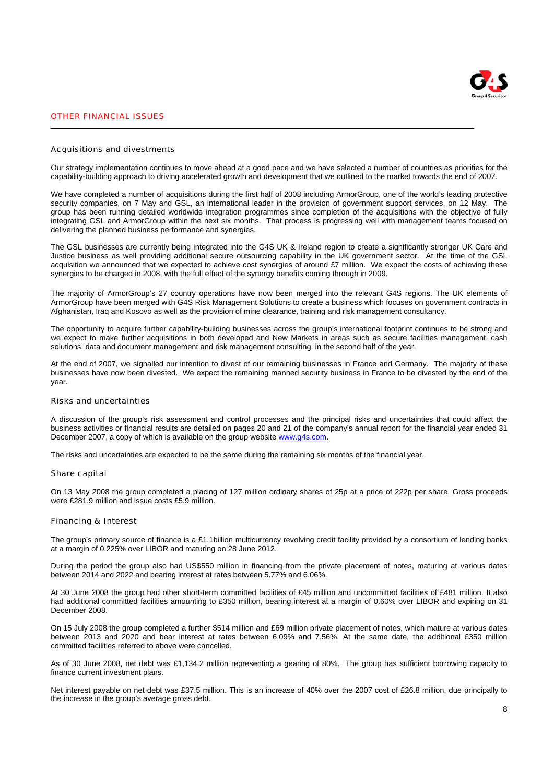

# OTHER FINANCIAL ISSUES

#### Acquisitions and divestments

Our strategy implementation continues to move ahead at a good pace and we have selected a number of countries as priorities for the capability-building approach to driving accelerated growth and development that we outlined to the market towards the end of 2007.

We have completed a number of acquisitions during the first half of 2008 including ArmorGroup, one of the world's leading protective security companies, on 7 May and GSL, an international leader in the provision of government support services, on 12 May. The group has been running detailed worldwide integration programmes since completion of the acquisitions with the objective of fully integrating GSL and ArmorGroup within the next six months. That process is progressing well with management teams focused on delivering the planned business performance and synergies.

The GSL businesses are currently being integrated into the G4S UK & Ireland region to create a significantly stronger UK Care and Justice business as well providing additional secure outsourcing capability in the UK government sector. At the time of the GSL acquisition we announced that we expected to achieve cost synergies of around £7 million. We expect the costs of achieving these synergies to be charged in 2008, with the full effect of the synergy benefits coming through in 2009.

The majority of ArmorGroup's 27 country operations have now been merged into the relevant G4S regions. The UK elements of ArmorGroup have been merged with G4S Risk Management Solutions to create a business which focuses on government contracts in Afghanistan, Iraq and Kosovo as well as the provision of mine clearance, training and risk management consultancy.

The opportunity to acquire further capability-building businesses across the group's international footprint continues to be strong and we expect to make further acquisitions in both developed and New Markets in areas such as secure facilities management, cash solutions, data and document management and risk management consulting in the second half of the year.

At the end of 2007, we signalled our intention to divest of our remaining businesses in France and Germany. The majority of these businesses have now been divested. We expect the remaining manned security business in France to be divested by the end of the year.

### Risks and uncertainties

A discussion of the group's risk assessment and control processes and the principal risks and uncertainties that could affect the business activities or financial results are detailed on pages 20 and 21 of the company's annual report for the financial year ended 31 December 2007, a copy of which is available on the group website www.g4s.com.

The risks and uncertainties are expected to be the same during the remaining six months of the financial year.

#### Share capital

On 13 May 2008 the group completed a placing of 127 million ordinary shares of 25p at a price of 222p per share. Gross proceeds were £281.9 million and issue costs £5.9 million.

#### Financing & Interest

The group's primary source of finance is a £1.1billion multicurrency revolving credit facility provided by a consortium of lending banks at a margin of 0.225% over LIBOR and maturing on 28 June 2012.

During the period the group also had US\$550 million in financing from the private placement of notes, maturing at various dates between 2014 and 2022 and bearing interest at rates between 5.77% and 6.06%.

At 30 June 2008 the group had other short-term committed facilities of £45 million and uncommitted facilities of £481 million. It also had additional committed facilities amounting to £350 million, bearing interest at a margin of 0.60% over LIBOR and expiring on 31 December 2008.

On 15 July 2008 the group completed a further \$514 million and £69 million private placement of notes, which mature at various dates between 2013 and 2020 and bear interest at rates between 6.09% and 7.56%. At the same date, the additional £350 million committed facilities referred to above were cancelled.

As of 30 June 2008, net debt was £1,134.2 million representing a gearing of 80%. The group has sufficient borrowing capacity to finance current investment plans.

Net interest payable on net debt was £37.5 million. This is an increase of 40% over the 2007 cost of £26.8 million, due principally to the increase in the group's average gross debt.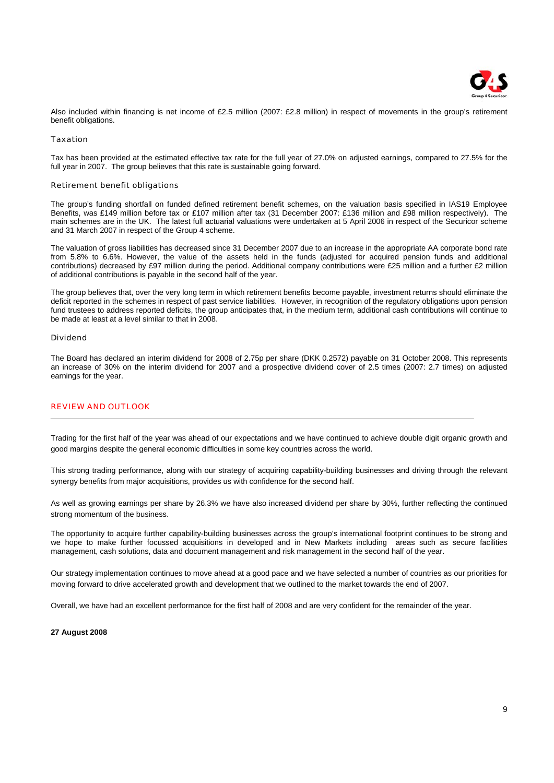

Also included within financing is net income of £2.5 million (2007: £2.8 million) in respect of movements in the group's retirement benefit obligations.

### Taxation

Tax has been provided at the estimated effective tax rate for the full year of 27.0% on adjusted earnings, compared to 27.5% for the full year in 2007. The group believes that this rate is sustainable going forward.

### Retirement benefit obligations

The group's funding shortfall on funded defined retirement benefit schemes, on the valuation basis specified in IAS19 Employee Benefits, was £149 million before tax or £107 million after tax (31 December 2007: £136 million and £98 million respectively). The main schemes are in the UK. The latest full actuarial valuations were undertaken at 5 April 2006 in respect of the Securicor scheme and 31 March 2007 in respect of the Group 4 scheme.

The valuation of gross liabilities has decreased since 31 December 2007 due to an increase in the appropriate AA corporate bond rate from 5.8% to 6.6%. However, the value of the assets held in the funds (adjusted for acquired pension funds and additional contributions) decreased by £97 million during the period. Additional company contributions were £25 million and a further £2 million of additional contributions is payable in the second half of the year.

The group believes that, over the very long term in which retirement benefits become payable, investment returns should eliminate the deficit reported in the schemes in respect of past service liabilities. However, in recognition of the regulatory obligations upon pension fund trustees to address reported deficits, the group anticipates that, in the medium term, additional cash contributions will continue to be made at least at a level similar to that in 2008.

### Dividend

The Board has declared an interim dividend for 2008 of 2.75p per share (DKK 0.2572) payable on 31 October 2008. This represents an increase of 30% on the interim dividend for 2007 and a prospective dividend cover of 2.5 times (2007: 2.7 times) on adjusted earnings for the year.

### REVIEW AND OUTLOOK

Trading for the first half of the year was ahead of our expectations and we have continued to achieve double digit organic growth and good margins despite the general economic difficulties in some key countries across the world.

This strong trading performance, along with our strategy of acquiring capability-building businesses and driving through the relevant synergy benefits from major acquisitions, provides us with confidence for the second half.

As well as growing earnings per share by 26.3% we have also increased dividend per share by 30%, further reflecting the continued strong momentum of the business.

The opportunity to acquire further capability-building businesses across the group's international footprint continues to be strong and we hope to make further focussed acquisitions in developed and in New Markets including areas such as secure facilities management, cash solutions, data and document management and risk management in the second half of the year.

Our strategy implementation continues to move ahead at a good pace and we have selected a number of countries as our priorities for moving forward to drive accelerated growth and development that we outlined to the market towards the end of 2007.

Overall, we have had an excellent performance for the first half of 2008 and are very confident for the remainder of the year.

### **27 August 2008**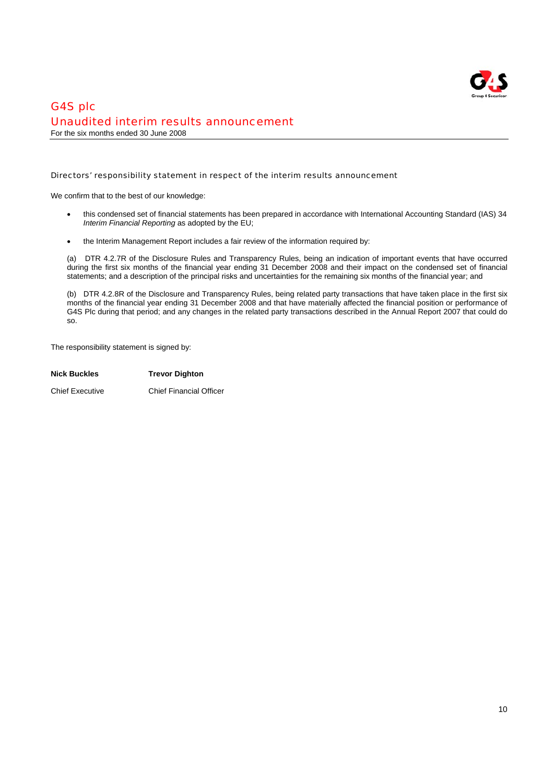

# G4S plc Unaudited interim results announcement For the six months ended 30 June 2008

### Directors' responsibility statement in respect of the interim results announcement

We confirm that to the best of our knowledge:

- this condensed set of financial statements has been prepared in accordance with International Accounting Standard (IAS) 34 *Interim Financial Reporting* as adopted by the EU;
- the Interim Management Report includes a fair review of the information required by:

(a) DTR 4.2.7R of the Disclosure Rules and Transparency Rules, being an indication of important events that have occurred during the first six months of the financial year ending 31 December 2008 and their impact on the condensed set of financial statements; and a description of the principal risks and uncertainties for the remaining six months of the financial year; and

(b) DTR 4.2.8R of the Disclosure and Transparency Rules, being related party transactions that have taken place in the first six months of the financial year ending 31 December 2008 and that have materially affected the financial position or performance of G4S Plc during that period; and any changes in the related party transactions described in the Annual Report 2007 that could do so.

The responsibility statement is signed by:

| <b>Nick Buckles</b>    | <b>Trevor Dighton</b>          |
|------------------------|--------------------------------|
| <b>Chief Executive</b> | <b>Chief Financial Officer</b> |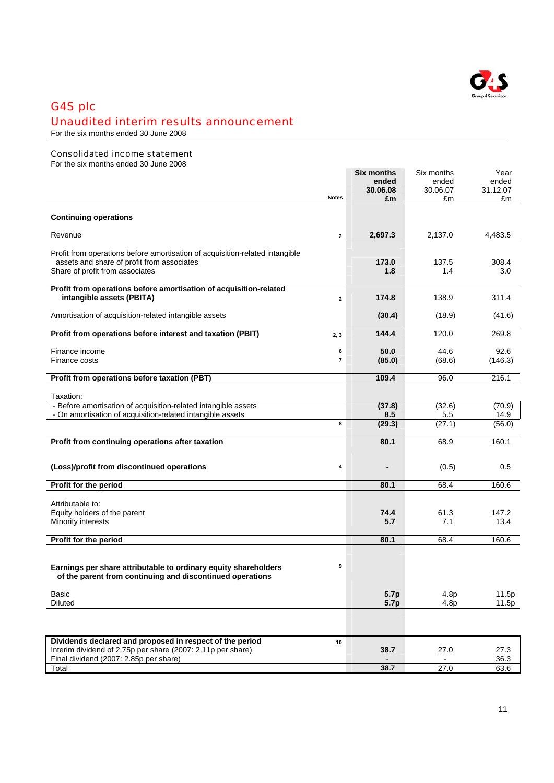

# G4S plc

# Unaudited interim results announcement

For the six months ended 30 June 2008

# Consolidated income statement

For the six months ended 30 June 2008

|                                                                                                                              |                | <b>Six months</b> | Six months     | Year           |
|------------------------------------------------------------------------------------------------------------------------------|----------------|-------------------|----------------|----------------|
|                                                                                                                              |                | ended             | ended          | ended          |
|                                                                                                                              | <b>Notes</b>   | 30.06.08<br>£m    | 30.06.07<br>£m | 31.12.07<br>£m |
|                                                                                                                              |                |                   |                |                |
| <b>Continuing operations</b>                                                                                                 |                |                   |                |                |
|                                                                                                                              |                |                   |                |                |
| Revenue                                                                                                                      | $\mathbf{2}$   | 2,697.3           | 2,137.0        | 4,483.5        |
| Profit from operations before amortisation of acquisition-related intangible                                                 |                |                   |                |                |
| assets and share of profit from associates                                                                                   |                | 173.0             | 137.5          | 308.4          |
| Share of profit from associates                                                                                              |                | 1.8               | 1.4            | 3.0            |
|                                                                                                                              |                |                   |                |                |
| Profit from operations before amortisation of acquisition-related                                                            |                |                   |                |                |
| intangible assets (PBITA)                                                                                                    | $\overline{2}$ | 174.8             | 138.9          | 311.4          |
|                                                                                                                              |                |                   |                |                |
| Amortisation of acquisition-related intangible assets                                                                        |                | (30.4)            | (18.9)         | (41.6)         |
| Profit from operations before interest and taxation (PBIT)                                                                   | 2, 3           | 144.4             | 120.0          | 269.8          |
|                                                                                                                              |                |                   |                |                |
| Finance income                                                                                                               | 6              | 50.0              | 44.6           | 92.6           |
| Finance costs                                                                                                                | $\overline{7}$ | (85.0)            | (68.6)         | (146.3)        |
|                                                                                                                              |                |                   |                |                |
| Profit from operations before taxation (PBT)                                                                                 |                | 109.4             | 96.0           | 216.1          |
|                                                                                                                              |                |                   |                |                |
| Taxation:                                                                                                                    |                |                   |                |                |
| - Before amortisation of acquisition-related intangible assets<br>- On amortisation of acquisition-related intangible assets |                | (37.8)<br>8.5     | (32.6)<br>5.5  | (70.9)<br>14.9 |
|                                                                                                                              | 8              | (29.3)            | (27.1)         | (56.0)         |
|                                                                                                                              |                |                   |                |                |
| Profit from continuing operations after taxation                                                                             |                | 80.1              | 68.9           | 160.1          |
|                                                                                                                              |                |                   |                |                |
|                                                                                                                              |                |                   |                |                |
| (Loss)/profit from discontinued operations                                                                                   | 4              |                   | (0.5)          | 0.5            |
| Profit for the period                                                                                                        |                | 80.1              | 68.4           | 160.6          |
|                                                                                                                              |                |                   |                |                |
| Attributable to:                                                                                                             |                |                   |                |                |
| Equity holders of the parent                                                                                                 |                | 74.4              | 61.3           | 147.2          |
| Minority interests                                                                                                           |                | 5.7               | 7.1            | 13.4           |
|                                                                                                                              |                |                   |                |                |
| Profit for the period                                                                                                        |                | 80.1              | 68.4           | 160.6          |
|                                                                                                                              |                |                   |                |                |
|                                                                                                                              |                |                   |                |                |
| Earnings per share attributable to ordinary equity shareholders                                                              | 9              |                   |                |                |
| of the parent from continuing and discontinued operations                                                                    |                |                   |                |                |
| Basic                                                                                                                        |                | 5.7p              | 4.8p           | 11.5p          |
| <b>Diluted</b>                                                                                                               |                | 5.7p              | 4.8p           | 11.5p          |
|                                                                                                                              |                |                   |                |                |
|                                                                                                                              |                |                   |                |                |
|                                                                                                                              |                |                   |                |                |
| Dividends declared and proposed in respect of the period                                                                     | 10             |                   |                |                |
| Interim dividend of 2.75p per share (2007: 2.11p per share)                                                                  |                | 38.7              | 27.0           | 27.3           |
| Final dividend (2007: 2.85p per share)                                                                                       |                |                   |                | 36.3           |
| Total                                                                                                                        |                | 38.7              | 27.0           | 63.6           |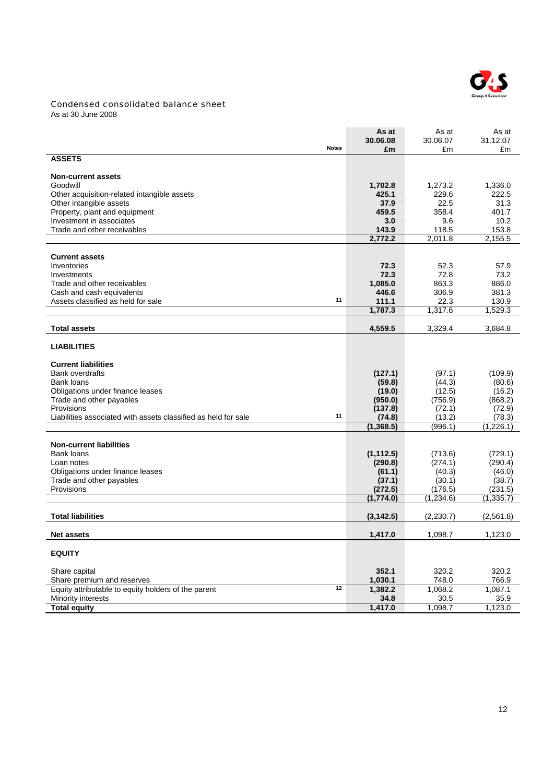

# Condensed consolidated balance sheet

As at 30 June 2008

|                                                                |              | As at                | As at                 | As at                 |
|----------------------------------------------------------------|--------------|----------------------|-----------------------|-----------------------|
|                                                                | <b>Notes</b> | 30.06.08<br>£m       | 30.06.07<br>£m        | 31.12.07              |
| <b>ASSETS</b>                                                  |              |                      |                       | £m                    |
|                                                                |              |                      |                       |                       |
| <b>Non-current assets</b>                                      |              |                      |                       |                       |
| Goodwill                                                       |              | 1,702.8              | 1,273.2               | 1,336.0               |
| Other acquisition-related intangible assets                    |              | 425.1                | 229.6                 | 222.5                 |
| Other intangible assets                                        |              | 37.9                 | 22.5                  | 31.3                  |
| Property, plant and equipment                                  |              | 459.5                | 358.4                 | 401.7                 |
| Investment in associates                                       |              | 3.0                  | 9.6                   | 10.2                  |
| Trade and other receivables                                    |              | 143.9                | 118.5                 | 153.8                 |
|                                                                |              | 2,772.2              | 2,011.8               | 2,155.5               |
| <b>Current assets</b>                                          |              |                      |                       |                       |
| Inventories                                                    |              | 72.3                 | 52.3                  | 57.9                  |
| Investments                                                    |              | 72.3                 | 72.8                  | 73.2                  |
| Trade and other receivables                                    |              | 1,085.0              | 863.3                 | 886.0                 |
| Cash and cash equivalents                                      |              | 446.6                | 306.9                 | 381.3                 |
| Assets classified as held for sale                             | 11           | 111.1                | 22.3                  | 130.9                 |
|                                                                |              | 1,787.3              | 1,317.6               | 1,529.3               |
|                                                                |              |                      |                       |                       |
| <b>Total assets</b>                                            |              | 4,559.5              | 3,329.4               | 3,684.8               |
| <b>LIABILITIES</b>                                             |              |                      |                       |                       |
| <b>Current liabilities</b>                                     |              |                      |                       |                       |
| <b>Bank overdrafts</b>                                         |              | (127.1)              | (97.1)                | (109.9)               |
| Bank loans                                                     |              | (59.8)               | (44.3)                | (80.6)                |
| Obligations under finance leases                               |              | (19.0)               | (12.5)                | (16.2)                |
| Trade and other payables                                       |              | (950.0)              | (756.9)               | (868.2)               |
| Provisions                                                     |              | (137.8)              | (72.1)                | (72.9)                |
| Liabilities associated with assets classified as held for sale | 11           | (74.8)               | (13.2)                | (78.3)                |
|                                                                |              | (1, 368.5)           | (996.1)               | (1,226.1)             |
|                                                                |              |                      |                       |                       |
| <b>Non-current liabilities</b>                                 |              |                      |                       |                       |
| <b>Bank loans</b>                                              |              | (1, 112.5)           | (713.6)               | (729.1)               |
| Loan notes                                                     |              | (290.8)              | (274.1)               | (290.4)               |
| Obligations under finance leases                               |              | (61.1)               | (40.3)                | (46.0)                |
| Trade and other payables                                       |              | (37.1)               | (30.1)                | (38.7)                |
| Provisions                                                     |              | (272.5)<br>(1,774.0) | (176.5)<br>(1, 234.6) | (231.5)<br>(1, 335.7) |
|                                                                |              |                      |                       |                       |
| <b>Total liabilities</b>                                       |              | (3, 142.5)           | (2,230.7)             | (2,561.8)             |
| <b>Net assets</b>                                              |              | 1,417.0              | 1,098.7               | 1,123.0               |
|                                                                |              |                      |                       |                       |
| <b>EQUITY</b>                                                  |              |                      |                       |                       |
| Share capital                                                  |              | 352.1                | 320.2                 | 320.2                 |
| Share premium and reserves                                     |              | 1,030.1              | 748.0                 | 766.9                 |
| Equity attributable to equity holders of the parent            | 12           | 1,382.2              | 1,068.2               | 1,087.1               |
| Minority interests                                             |              | 34.8                 | 30.5                  | 35.9                  |
| <b>Total equity</b>                                            |              | 1,417.0              | 1,098.7               | 1,123.0               |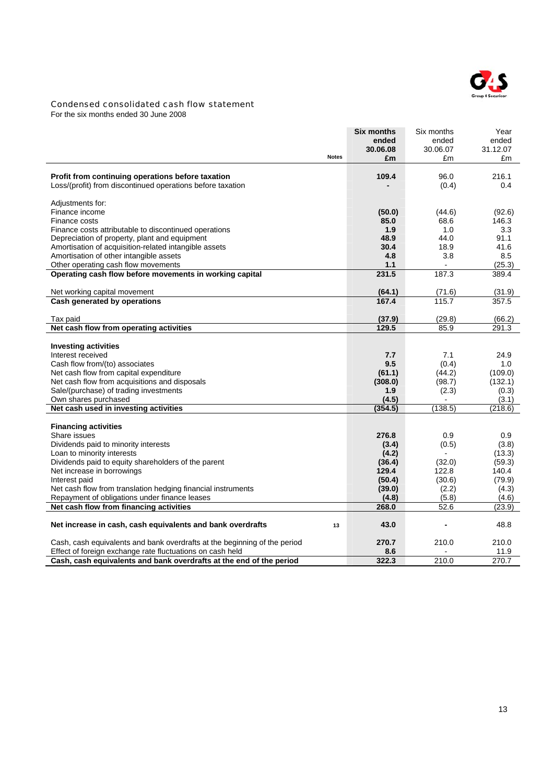

### Condensed consolidated cash flow statement

For the six months ended 30 June 2008

|                                                                                   | <b>Six months</b> | Six months      | Year            |
|-----------------------------------------------------------------------------------|-------------------|-----------------|-----------------|
|                                                                                   | ended             | ended           | ended           |
|                                                                                   | 30.06.08          | 30.06.07        | 31.12.07        |
| <b>Notes</b>                                                                      | £m                | £m              | £m              |
|                                                                                   |                   |                 |                 |
| Profit from continuing operations before taxation                                 | 109.4             | 96.0            | 216.1           |
| Loss/(profit) from discontinued operations before taxation                        |                   | (0.4)           | 0.4             |
|                                                                                   |                   |                 |                 |
| Adjustments for:<br>Finance income                                                |                   |                 |                 |
| Finance costs                                                                     | (50.0)<br>85.0    | (44.6)<br>68.6  | (92.6)<br>146.3 |
| Finance costs attributable to discontinued operations                             | 1.9               | 1.0             | 3.3             |
| Depreciation of property, plant and equipment                                     | 48.9              | 44.0            | 91.1            |
| Amortisation of acquisition-related intangible assets                             | 30.4              | 18.9            | 41.6            |
| Amortisation of other intangible assets                                           | 4.8               | 3.8             | 8.5             |
| Other operating cash flow movements                                               | 1.1               |                 | (25.3)          |
| Operating cash flow before movements in working capital                           | 231.5             | 187.3           | 389.4           |
|                                                                                   |                   |                 |                 |
| Net working capital movement                                                      | (64.1)            | (71.6)          | (31.9)          |
| Cash generated by operations                                                      | 167.4             | 115.7           | 357.5           |
|                                                                                   |                   |                 |                 |
| Tax paid                                                                          | (37.9)            | (29.8)          | (66.2)          |
| Net cash flow from operating activities                                           | 129.5             | 85.9            | 291.3           |
|                                                                                   |                   |                 |                 |
| <b>Investing activities</b>                                                       |                   |                 |                 |
| Interest received                                                                 | 7.7               | 7.1             | 24.9            |
| Cash flow from/(to) associates                                                    | 9.5               | (0.4)           | 1.0             |
| Net cash flow from capital expenditure                                            | (61.1)            | (44.2)          | (109.0)         |
| Net cash flow from acquisitions and disposals                                     | (308.0)           | (98.7)          | (132.1)         |
| Sale/(purchase) of trading investments                                            | 1.9               | (2.3)           | (0.3)           |
| Own shares purchased                                                              | (4.5)             | $\blacksquare$  | (3.1)           |
| Net cash used in investing activities                                             | (354.5)           | (138.5)         | (218.6)         |
|                                                                                   |                   |                 |                 |
| <b>Financing activities</b>                                                       |                   |                 |                 |
| Share issues                                                                      | 276.8             | 0.9             | 0.9             |
| Dividends paid to minority interests                                              | (3.4)             | (0.5)           | (3.8)           |
| Loan to minority interests                                                        | (4.2)             |                 | (13.3)          |
| Dividends paid to equity shareholders of the parent<br>Net increase in borrowings | (36.4)<br>129.4   | (32.0)<br>122.8 | (59.3)<br>140.4 |
| Interest paid                                                                     | (50.4)            | (30.6)          | (79.9)          |
| Net cash flow from translation hedging financial instruments                      | (39.0)            | (2.2)           | (4.3)           |
| Repayment of obligations under finance leases                                     | (4.8)             | (5.8)           | (4.6)           |
| Net cash flow from financing activities                                           | 268.0             | 52.6            | (23.9)          |
|                                                                                   |                   |                 |                 |
| Net increase in cash, cash equivalents and bank overdrafts<br>13                  | 43.0              |                 | 48.8            |
|                                                                                   |                   |                 |                 |
| Cash, cash equivalents and bank overdrafts at the beginning of the period         | 270.7             | 210.0           | 210.0           |
| Effect of foreign exchange rate fluctuations on cash held                         | 8.6               |                 | 11.9            |
| Cash, cash equivalents and bank overdrafts at the end of the period               | 322.3             | 210.0           | 270.7           |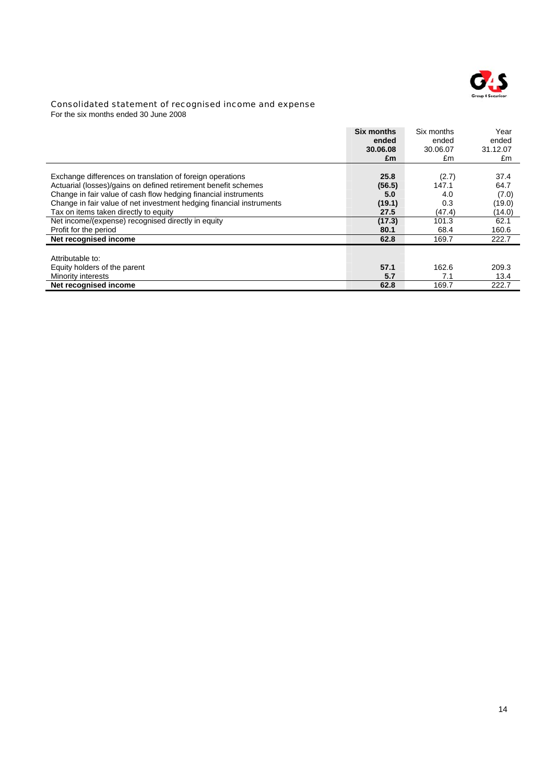

### Consolidated statement of recognised income and expense

For the six months ended 30 June 2008

|                                                                      | <b>Six months</b><br>ended<br>30.06.08<br>£m | Six months<br>ended<br>30.06.07<br>£m | Year<br>ended<br>31.12.07<br>£m |
|----------------------------------------------------------------------|----------------------------------------------|---------------------------------------|---------------------------------|
| Exchange differences on translation of foreign operations            | 25.8                                         | (2.7)                                 | 37.4                            |
| Actuarial (losses)/gains on defined retirement benefit schemes       | (56.5)                                       | 147.1                                 | 64.7                            |
| Change in fair value of cash flow hedging financial instruments      | 5.0                                          | 4.0                                   | (7.0)                           |
| Change in fair value of net investment hedging financial instruments | (19.1)                                       | 0.3                                   | (19.0)                          |
| Tax on items taken directly to equity                                | 27.5                                         | (47.4)                                | (14.0)                          |
| Net income/(expense) recognised directly in equity                   | (17.3)                                       | 101.3                                 | 62.1                            |
| Profit for the period                                                | 80.1                                         | 68.4                                  | 160.6                           |
| Net recognised income                                                | 62.8                                         | 169.7                                 | 222.7                           |
| Attributable to:                                                     |                                              |                                       |                                 |
| Equity holders of the parent                                         | 57.1                                         | 162.6                                 | 209.3                           |
| Minority interests                                                   | 5.7                                          | 7.1                                   | 13.4                            |
| Net recognised income                                                | 62.8                                         | 169.7                                 | 222.7                           |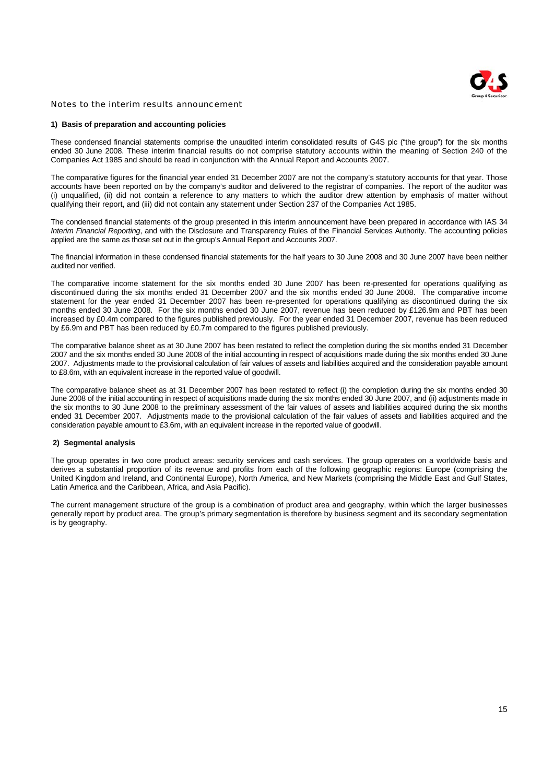

### Notes to the interim results announcement

#### **1) Basis of preparation and accounting policies**

These condensed financial statements comprise the unaudited interim consolidated results of G4S plc ("the group") for the six months ended 30 June 2008. These interim financial results do not comprise statutory accounts within the meaning of Section 240 of the Companies Act 1985 and should be read in conjunction with the Annual Report and Accounts 2007.

The comparative figures for the financial year ended 31 December 2007 are not the company's statutory accounts for that year. Those accounts have been reported on by the company's auditor and delivered to the registrar of companies. The report of the auditor was (i) unqualified, (ii) did not contain a reference to any matters to which the auditor drew attention by emphasis of matter without qualifying their report, and (iii) did not contain any statement under Section 237 of the Companies Act 1985.

The condensed financial statements of the group presented in this interim announcement have been prepared in accordance with IAS 34 *Interim Financial Reporting*, and with the Disclosure and Transparency Rules of the Financial Services Authority. The accounting policies applied are the same as those set out in the group's Annual Report and Accounts 2007.

The financial information in these condensed financial statements for the half years to 30 June 2008 and 30 June 2007 have been neither audited nor verified.

The comparative income statement for the six months ended 30 June 2007 has been re-presented for operations qualifying as discontinued during the six months ended 31 December 2007 and the six months ended 30 June 2008. The comparative income statement for the year ended 31 December 2007 has been re-presented for operations qualifying as discontinued during the six months ended 30 June 2008. For the six months ended 30 June 2007, revenue has been reduced by £126.9m and PBT has been increased by £0.4m compared to the figures published previously. For the year ended 31 December 2007, revenue has been reduced by £6.9m and PBT has been reduced by £0.7m compared to the figures published previously.

The comparative balance sheet as at 30 June 2007 has been restated to reflect the completion during the six months ended 31 December 2007 and the six months ended 30 June 2008 of the initial accounting in respect of acquisitions made during the six months ended 30 June 2007. Adjustments made to the provisional calculation of fair values of assets and liabilities acquired and the consideration payable amount to £8.6m, with an equivalent increase in the reported value of goodwill.

The comparative balance sheet as at 31 December 2007 has been restated to reflect (i) the completion during the six months ended 30 June 2008 of the initial accounting in respect of acquisitions made during the six months ended 30 June 2007, and (ii) adjustments made in the six months to 30 June 2008 to the preliminary assessment of the fair values of assets and liabilities acquired during the six months ended 31 December 2007. Adjustments made to the provisional calculation of the fair values of assets and liabilities acquired and the consideration payable amount to £3.6m, with an equivalent increase in the reported value of goodwill.

#### **2) Segmental analysis**

The group operates in two core product areas: security services and cash services. The group operates on a worldwide basis and derives a substantial proportion of its revenue and profits from each of the following geographic regions: Europe (comprising the United Kingdom and Ireland, and Continental Europe), North America, and New Markets (comprising the Middle East and Gulf States, Latin America and the Caribbean, Africa, and Asia Pacific).

The current management structure of the group is a combination of product area and geography, within which the larger businesses generally report by product area. The group's primary segmentation is therefore by business segment and its secondary segmentation is by geography.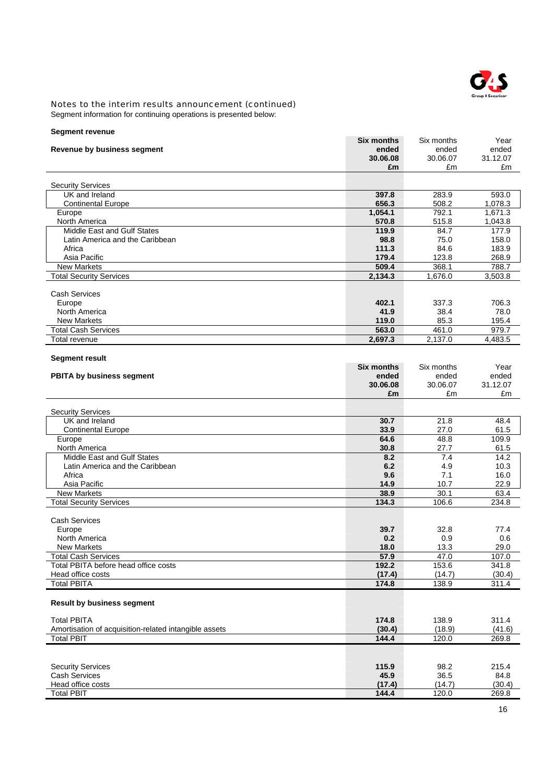

Segment information for continuing operations is presented below:

| <b>Segment revenue</b>                                |                            |                     |                 |
|-------------------------------------------------------|----------------------------|---------------------|-----------------|
|                                                       | <b>Six months</b>          | Six months          | Year            |
| Revenue by business segment                           | ended                      | ended               | ended           |
|                                                       | 30.06.08<br>£m             | 30.06.07<br>£m      | 31.12.07<br>£m  |
|                                                       |                            |                     |                 |
| <b>Security Services</b>                              |                            |                     |                 |
| UK and Ireland                                        | 397.8                      | 283.9               | 593.0           |
| <b>Continental Europe</b>                             | 656.3                      | 508.2               | 1,078.3         |
| Europe                                                | 1,054.1                    | 792.1               | 1,671.3         |
| North America                                         | 570.8                      | 515.8               | 1,043.8         |
| Middle East and Gulf States                           | 119.9                      | 84.7                | 177.9           |
| Latin America and the Caribbean                       | 98.8                       | 75.0                | 158.0           |
| Africa<br>Asia Pacific                                | 111.3<br>179.4             | 84.6<br>123.8       | 183.9<br>268.9  |
| <b>New Markets</b>                                    | 509.4                      | 368.1               | 788.7           |
| <b>Total Security Services</b>                        | 2,134.3                    | 1,676.0             | 3,503.8         |
|                                                       |                            |                     |                 |
| <b>Cash Services</b>                                  |                            |                     |                 |
| Europe                                                | 402.1                      | 337.3               | 706.3           |
| North America                                         | 41.9                       | 38.4                | 78.0            |
| <b>New Markets</b>                                    | 119.0                      | 85.3                | 195.4           |
| <b>Total Cash Services</b>                            | 563.0                      | 461.0               | 979.7           |
| <b>Total revenue</b>                                  | 2,697.3                    | 2,137.0             | 4,483.5         |
|                                                       |                            |                     |                 |
| <b>Segment result</b>                                 |                            |                     |                 |
|                                                       | <b>Six months</b><br>ended | Six months<br>ended | Year<br>ended   |
| <b>PBITA by business segment</b>                      | 30.06.08                   | 30.06.07            | 31.12.07        |
|                                                       | £m                         | £m                  | £m              |
|                                                       |                            |                     |                 |
| <b>Security Services</b>                              |                            |                     |                 |
| UK and Ireland                                        | 30.7                       | 21.8                | 48.4            |
| <b>Continental Europe</b>                             | 33.9                       | 27.0                | 61.5            |
| Europe                                                | 64.6                       | 48.8                | 109.9           |
| North America                                         | 30.8                       | 27.7                | 61.5            |
| Middle East and Gulf States                           | 8.2                        | 7.4                 | 14.2            |
| Latin America and the Caribbean<br>Africa             | 6.2<br>9.6                 | 4.9<br>7.1          | 10.3<br>16.0    |
| Asia Pacific                                          | 14.9                       | 10.7                | 22.9            |
| <b>New Markets</b>                                    | 38.9                       | 30.1                | 63.4            |
| <b>Total Security Services</b>                        | 134.3                      | 106.6               | 234.8           |
|                                                       |                            |                     |                 |
| <b>Cash Services</b>                                  |                            |                     |                 |
| Europe                                                | 39.7                       | 32.8                | 77.4            |
| North America                                         | 0.2                        | 0.9                 | 0.6             |
| <b>New Markets</b>                                    | 18.0                       | 13.3                | 29.0            |
| <b>Total Cash Services</b>                            | 57.9                       | 47.0                | 107.0           |
| Total PBITA before head office costs                  | 192.2                      | 153.6               | 341.8           |
| Head office costs<br><b>Total PBITA</b>               | (17.4)<br>174.8            | (14.7)<br>138.9     | (30.4)<br>311.4 |
|                                                       |                            |                     |                 |
| <b>Result by business segment</b>                     |                            |                     |                 |
| <b>Total PBITA</b>                                    | 174.8                      | 138.9               | 311.4           |
| Amortisation of acquisition-related intangible assets | (30.4)                     | (18.9)              | (41.6)          |
| <b>Total PBIT</b>                                     | 144.4                      | 120.0               | 269.8           |
|                                                       |                            |                     |                 |
|                                                       |                            |                     |                 |
| <b>Security Services</b>                              | 115.9                      | 98.2                | 215.4           |
| <b>Cash Services</b>                                  | 45.9                       | 36.5                | 84.8            |
| Head office costs<br><b>Total PBIT</b>                | (17.4)<br>144.4            | (14.7)<br>120.0     | (30.4)<br>269.8 |
|                                                       |                            |                     |                 |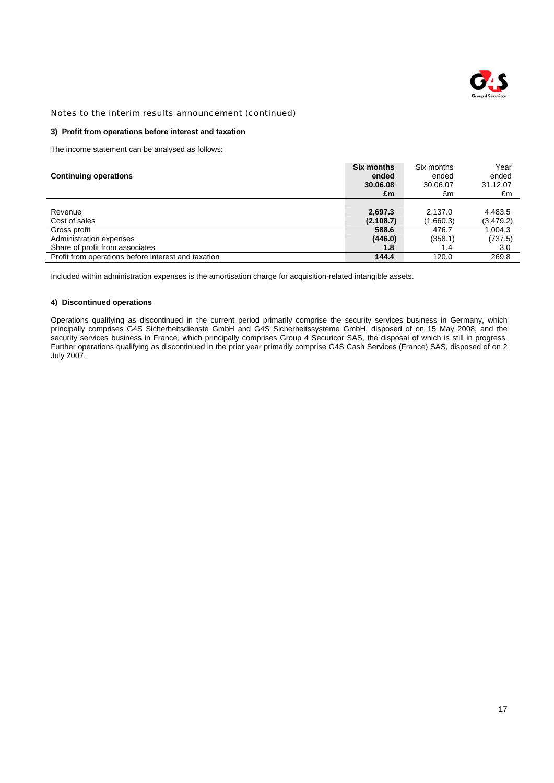

### **3) Profit from operations before interest and taxation**

The income statement can be analysed as follows:

| <b>Continuing operations</b>                        | <b>Six months</b><br>ended<br>30.06.08<br>£m | Six months<br>ended<br>30.06.07<br>£m | Year<br>ended<br>31.12.07<br>£m |
|-----------------------------------------------------|----------------------------------------------|---------------------------------------|---------------------------------|
|                                                     |                                              |                                       |                                 |
| Revenue                                             | 2,697.3                                      | 2.137.0                               | 4,483.5                         |
| Cost of sales                                       | (2, 108.7)                                   | (1,660.3)                             | (3,479.2)                       |
| Gross profit                                        | 588.6                                        | 476.7                                 | 1,004.3                         |
| Administration expenses                             | (446.0)                                      | (358.1)                               | (737.5)                         |
| Share of profit from associates                     | 1.8                                          | 1.4                                   | 3.0                             |
| Profit from operations before interest and taxation | 144.4                                        | 120.0                                 | 269.8                           |

Included within administration expenses is the amortisation charge for acquisition-related intangible assets.

### **4) Discontinued operations**

Operations qualifying as discontinued in the current period primarily comprise the security services business in Germany, which principally comprises G4S Sicherheitsdienste GmbH and G4S Sicherheitssysteme GmbH, disposed of on 15 May 2008, and the security services business in France, which principally comprises Group 4 Securicor SAS, the disposal of which is still in progress. Further operations qualifying as discontinued in the prior year primarily comprise G4S Cash Services (France) SAS, disposed of on 2 July 2007.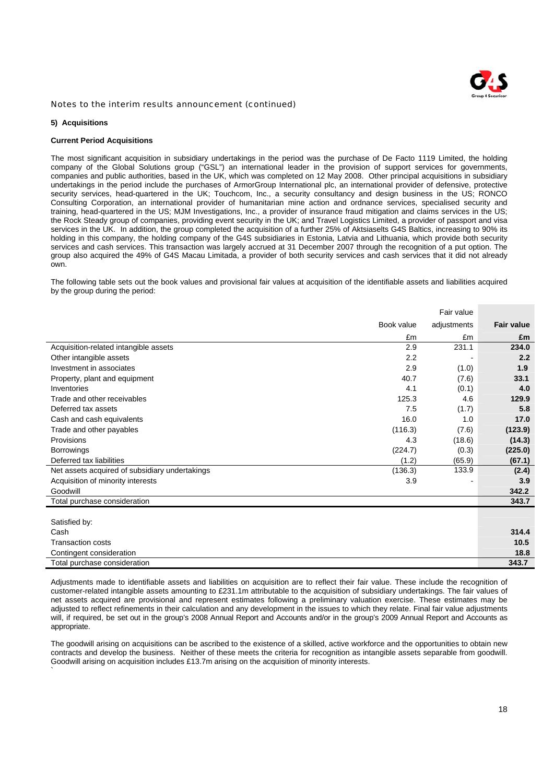

#### **5) Acquisitions**

### **Current Period Acquisitions**

The most significant acquisition in subsidiary undertakings in the period was the purchase of De Facto 1119 Limited, the holding company of the Global Solutions group ("GSL") an international leader in the provision of support services for governments, companies and public authorities, based in the UK, which was completed on 12 May 2008. Other principal acquisitions in subsidiary undertakings in the period include the purchases of ArmorGroup International plc, an international provider of defensive, protective security services, head-quartered in the UK; Touchcom, Inc., a security consultancy and design business in the US; RONCO Consulting Corporation, an international provider of humanitarian mine action and ordnance services, specialised security and training, head-quartered in the US; MJM Investigations, Inc., a provider of insurance fraud mitigation and claims services in the US; the Rock Steady group of companies, providing event security in the UK; and Travel Logistics Limited, a provider of passport and visa services in the UK. In addition, the group completed the acquisition of a further 25% of Aktsiaselts G4S Baltics, increasing to 90% its holding in this company, the holding company of the G4S subsidiaries in Estonia, Latvia and Lithuania, which provide both security services and cash services. This transaction was largely accrued at 31 December 2007 through the recognition of a put option. The group also acquired the 49% of G4S Macau Limitada, a provider of both security services and cash services that it did not already own.

The following table sets out the book values and provisional fair values at acquisition of the identifiable assets and liabilities acquired by the group during the period:

|                                                |            | Fair value  |                   |
|------------------------------------------------|------------|-------------|-------------------|
|                                                | Book value | adjustments | <b>Fair value</b> |
|                                                | £m         | £m          | £m                |
| Acquisition-related intangible assets          | 2.9        | 231.1       | 234.0             |
| Other intangible assets                        | 2.2        |             | 2.2               |
| Investment in associates                       | 2.9        | (1.0)       | 1.9               |
| Property, plant and equipment                  | 40.7       | (7.6)       | 33.1              |
| Inventories                                    | 4.1        | (0.1)       | 4.0               |
| Trade and other receivables                    | 125.3      | 4.6         | 129.9             |
| Deferred tax assets                            | 7.5        | (1.7)       | 5.8               |
| Cash and cash equivalents                      | 16.0       | 1.0         | 17.0              |
| Trade and other payables                       | (116.3)    | (7.6)       | (123.9)           |
| Provisions                                     | 4.3        | (18.6)      | (14.3)            |
| <b>Borrowings</b>                              | (224.7)    | (0.3)       | (225.0)           |
| Deferred tax liabilities                       | (1.2)      | (65.9)      | (67.1)            |
| Net assets acquired of subsidiary undertakings | (136.3)    | 133.9       | (2.4)             |
| Acquisition of minority interests              | 3.9        |             | 3.9               |
| Goodwill                                       |            |             | 342.2             |
| Total purchase consideration                   |            |             | 343.7             |
|                                                |            |             |                   |
| Satisfied by:                                  |            |             |                   |
| Cash                                           |            |             | 314.4             |
| <b>Transaction costs</b>                       |            |             | 10.5              |
| Contingent consideration                       |            |             | 18.8              |
| Total purchase consideration                   |            |             | 343.7             |

Adjustments made to identifiable assets and liabilities on acquisition are to reflect their fair value. These include the recognition of customer-related intangible assets amounting to £231.1m attributable to the acquisition of subsidiary undertakings. The fair values of net assets acquired are provisional and represent estimates following a preliminary valuation exercise. These estimates may be adjusted to reflect refinements in their calculation and any development in the issues to which they relate. Final fair value adjustments will, if required, be set out in the group's 2008 Annual Report and Accounts and/or in the group's 2009 Annual Report and Accounts as appropriate.

The goodwill arising on acquisitions can be ascribed to the existence of a skilled, active workforce and the opportunities to obtain new contracts and develop the business. Neither of these meets the criteria for recognition as intangible assets separable from goodwill. Goodwill arising on acquisition includes £13.7m arising on the acquisition of minority interests. `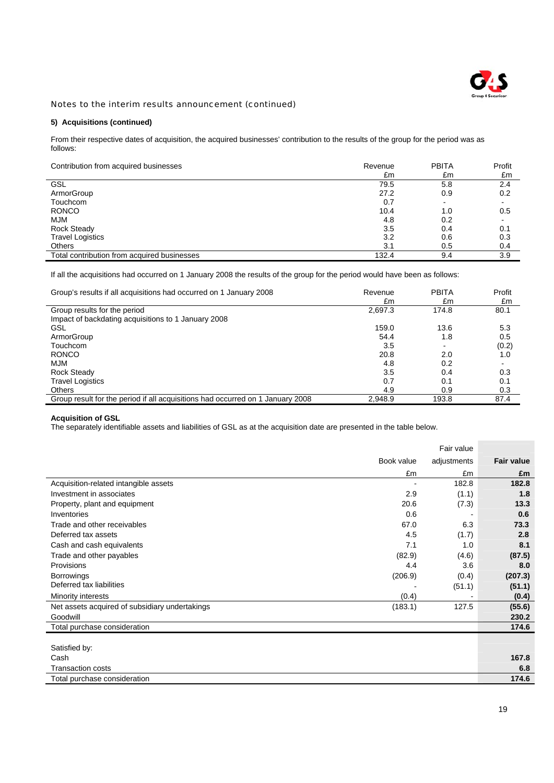

# **5) Acquisitions (continued)**

From their respective dates of acquisition, the acquired businesses' contribution to the results of the group for the period was as follows:

| Contribution from acquired businesses       | Revenue | <b>PBITA</b> | Profit |
|---------------------------------------------|---------|--------------|--------|
|                                             | £m      | £m           | £m     |
| <b>GSL</b>                                  | 79.5    | 5.8          | 2.4    |
| ArmorGroup                                  | 27.2    | 0.9          | 0.2    |
| Touchcom                                    | 0.7     |              |        |
| <b>RONCO</b>                                | 10.4    | 1.0          | 0.5    |
| <b>MJM</b>                                  | 4.8     | 0.2          |        |
| <b>Rock Steady</b>                          | 3.5     | 0.4          | 0.1    |
| <b>Travel Logistics</b>                     | 3.2     | 0.6          | 0.3    |
| <b>Others</b>                               | 3.1     | 0.5          | 0.4    |
| Total contribution from acquired businesses | 132.4   | 9.4          | 3.9    |

If all the acquisitions had occurred on 1 January 2008 the results of the group for the period would have been as follows:

| Group's results if all acquisitions had occurred on 1 January 2008             | Revenue<br>£m | <b>PBITA</b><br>£m | Profit<br>£m |
|--------------------------------------------------------------------------------|---------------|--------------------|--------------|
| Group results for the period                                                   | 2,697.3       | 174.8              | 80.1         |
| Impact of backdating acquisitions to 1 January 2008                            |               |                    |              |
| GSL                                                                            | 159.0         | 13.6               | 5.3          |
| ArmorGroup                                                                     | 54.4          | 1.8                | 0.5          |
| Touchcom                                                                       | 3.5           |                    | (0.2)        |
| <b>RONCO</b>                                                                   | 20.8          | 2.0                | 1.0          |
| MJM                                                                            | 4.8           | 0.2                |              |
| <b>Rock Steady</b>                                                             | 3.5           | 0.4                | 0.3          |
| <b>Travel Logistics</b>                                                        | 0.7           | 0.1                | 0.1          |
| <b>Others</b>                                                                  | 4.9           | 0.9                | 0.3          |
| Group result for the period if all acquisitions had occurred on 1 January 2008 | 2.948.9       | 193.8              | 87.4         |

#### **Acquisition of GSL**

The separately identifiable assets and liabilities of GSL as at the acquisition date are presented in the table below.

|                                                |            | Fair value  |                   |
|------------------------------------------------|------------|-------------|-------------------|
|                                                | Book value | adjustments | <b>Fair value</b> |
|                                                | £m         | £m          | £m                |
| Acquisition-related intangible assets          |            | 182.8       | 182.8             |
| Investment in associates                       | 2.9        | (1.1)       | 1.8               |
| Property, plant and equipment                  | 20.6       | (7.3)       | 13.3              |
| Inventories                                    | 0.6        |             | 0.6               |
| Trade and other receivables                    | 67.0       | 6.3         | 73.3              |
| Deferred tax assets                            | 4.5        | (1.7)       | 2.8               |
| Cash and cash equivalents                      | 7.1        | 1.0         | 8.1               |
| Trade and other payables                       | (82.9)     | (4.6)       | (87.5)            |
| Provisions                                     | 4.4        | 3.6         | 8.0               |
| <b>Borrowings</b>                              | (206.9)    | (0.4)       | (207.3)           |
| Deferred tax liabilities                       |            | (51.1)      | (51.1)            |
| Minority interests                             | (0.4)      |             | (0.4)             |
| Net assets acquired of subsidiary undertakings | (183.1)    | 127.5       | (55.6)            |
| Goodwill                                       |            |             | 230.2             |
| Total purchase consideration                   |            |             | 174.6             |
|                                                |            |             |                   |
| Satisfied by:                                  |            |             |                   |
| Cash                                           |            |             | 167.8             |
| <b>Transaction costs</b>                       |            |             | 6.8               |
| Total purchase consideration                   |            |             | 174.6             |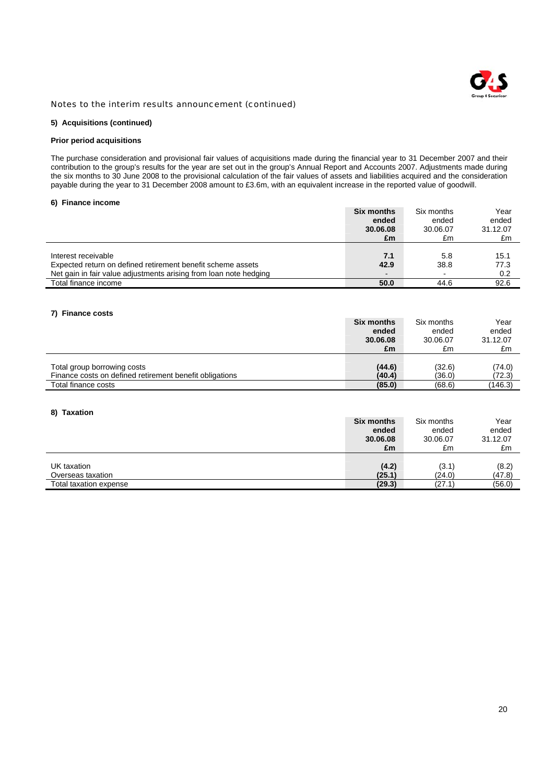

### **5) Acquisitions (continued)**

### **Prior period acquisitions**

The purchase consideration and provisional fair values of acquisitions made during the financial year to 31 December 2007 and their contribution to the group's results for the year are set out in the group's Annual Report and Accounts 2007. Adjustments made during the six months to 30 June 2008 to the provisional calculation of the fair values of assets and liabilities acquired and the consideration payable during the year to 31 December 2008 amount to £3.6m, with an equivalent increase in the reported value of goodwill.

### **6) Finance income**

|                                                                   | <b>Six months</b>        | Six months | Year     |
|-------------------------------------------------------------------|--------------------------|------------|----------|
|                                                                   | ended                    | ended      | ended    |
|                                                                   | 30.06.08                 | 30.06.07   | 31.12.07 |
|                                                                   | £m                       | £m         | £m       |
|                                                                   |                          |            |          |
| Interest receivable                                               | 7.1                      | 5.8        | 15.1     |
| Expected return on defined retirement benefit scheme assets       | 42.9                     | 38.8       | 77.3     |
| Net gain in fair value adjustments arising from loan note hedging | $\overline{\phantom{0}}$ |            | 0.2      |
| Total finance income                                              | 50.0                     | 44.6       | 92.6     |

## **7) Finance costs**

|                                                         | Six months | Six months | Year     |
|---------------------------------------------------------|------------|------------|----------|
|                                                         | ended      | ended      | ended    |
|                                                         | 30.06.08   | 30.06.07   | 31.12.07 |
|                                                         | £m         | £m         | £m       |
|                                                         |            |            |          |
| Total group borrowing costs                             | (44.6)     | (32.6)     | (74.0)   |
| Finance costs on defined retirement benefit obligations | (40.4)     | (36.0)     | (72.3)   |
| Total finance costs                                     | (85.0)     | (68.6)     | (146.3)  |

### **8) Taxation**

|                        | <b>Six months</b> | Six months | Year     |
|------------------------|-------------------|------------|----------|
|                        | ended             | ended      | ended    |
|                        | 30.06.08          | 30.06.07   | 31.12.07 |
|                        | £m                | £m         | £m       |
|                        |                   |            |          |
| UK taxation            | (4.2)             | (3.1)      | (8.2)    |
| Overseas taxation      | (25.1)            | (24.0)     | (47.8)   |
| Total taxation expense | (29.3)            | (27.1      | (56.0)   |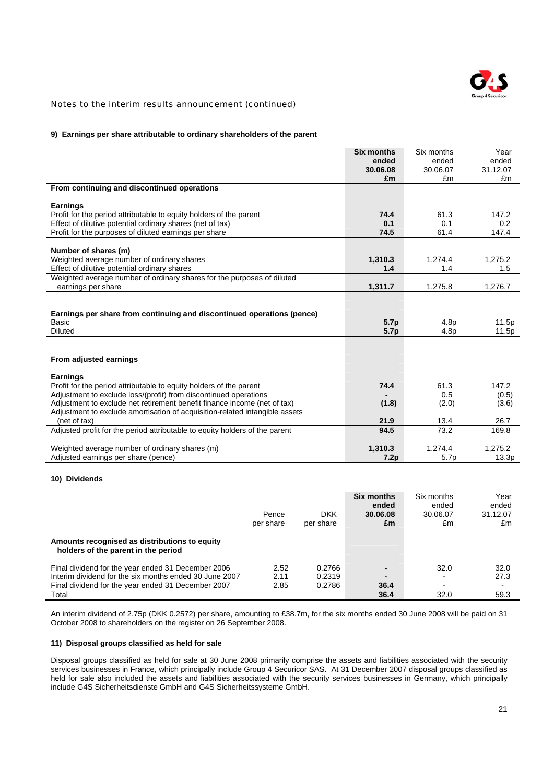

### **9) Earnings per share attributable to ordinary shareholders of the parent**

|                                                                             | <b>Six months</b> | Six months       | Year             |
|-----------------------------------------------------------------------------|-------------------|------------------|------------------|
|                                                                             | ended             | ended            | ended            |
|                                                                             | 30.06.08          | 30.06.07         | 31.12.07         |
|                                                                             | £m                | £m               | £m               |
| From continuing and discontinued operations                                 |                   |                  |                  |
|                                                                             |                   |                  |                  |
| <b>Earnings</b>                                                             |                   |                  |                  |
| Profit for the period attributable to equity holders of the parent          | 74.4              | 61.3             | 147.2            |
| Effect of dilutive potential ordinary shares (net of tax)                   | 0.1               | 0.1              | 0.2              |
| Profit for the purposes of diluted earnings per share                       | 74.5              | 61.4             | 147.4            |
|                                                                             |                   |                  |                  |
| Number of shares (m)                                                        |                   |                  |                  |
| Weighted average number of ordinary shares                                  | 1,310.3           | 1.274.4          | 1.275.2          |
| Effect of dilutive potential ordinary shares                                | 1.4               | 1.4              | 1.5              |
| Weighted average number of ordinary shares for the purposes of diluted      |                   |                  |                  |
| earnings per share                                                          | 1,311.7           | 1,275.8          | 1,276.7          |
|                                                                             |                   |                  |                  |
|                                                                             |                   |                  |                  |
| Earnings per share from continuing and discontinued operations (pence)      |                   |                  |                  |
| Basic                                                                       | 5.7p              | 4.8 <sub>p</sub> | 11.5p            |
|                                                                             |                   |                  |                  |
| Diluted                                                                     | 5.7p              | 4.8 <sub>p</sub> | 11.5p            |
|                                                                             |                   |                  |                  |
|                                                                             |                   |                  |                  |
| From adjusted earnings                                                      |                   |                  |                  |
|                                                                             |                   |                  |                  |
| <b>Earnings</b>                                                             |                   |                  |                  |
| Profit for the period attributable to equity holders of the parent          | 74.4              | 61.3             | 147.2            |
| Adjustment to exclude loss/(profit) from discontinued operations            |                   | 0.5              | (0.5)            |
| Adjustment to exclude net retirement benefit finance income (net of tax)    | (1.8)             | (2.0)            | (3.6)            |
| Adjustment to exclude amortisation of acquisition-related intangible assets |                   |                  |                  |
| (net of tax)                                                                | 21.9              | 13.4             | 26.7             |
| Adjusted profit for the period attributable to equity holders of the parent | 94.5              | 73.2             | 169.8            |
|                                                                             |                   |                  |                  |
| Weighted average number of ordinary shares (m)                              | 1,310.3           | 1,274.4          | 1.275.2<br>13.3p |

### **10) Dividends**

|                                                                                                                                                                    | Pence<br>per share   | <b>DKK</b><br>per share    | Six months<br>ended<br>30.06.08<br>£m | Six months<br>ended<br>30.06.07<br>£m | Year<br>ended<br>31.12.07<br>£m |
|--------------------------------------------------------------------------------------------------------------------------------------------------------------------|----------------------|----------------------------|---------------------------------------|---------------------------------------|---------------------------------|
| Amounts recognised as distributions to equity<br>holders of the parent in the period                                                                               |                      |                            |                                       |                                       |                                 |
| Final dividend for the year ended 31 December 2006<br>Interim dividend for the six months ended 30 June 2007<br>Final dividend for the year ended 31 December 2007 | 2.52<br>2.11<br>2.85 | 0.2766<br>0.2319<br>0.2786 | ٠<br>٠<br>36.4                        | 32.0<br>-<br>-                        | 32.0<br>27.3                    |
| Total                                                                                                                                                              |                      |                            | 36.4                                  | 32.0                                  | 59.3                            |

An interim dividend of 2.75p (DKK 0.2572) per share, amounting to £38.7m, for the six months ended 30 June 2008 will be paid on 31 October 2008 to shareholders on the register on 26 September 2008.

### **11) Disposal groups classified as held for sale**

Disposal groups classified as held for sale at 30 June 2008 primarily comprise the assets and liabilities associated with the security services businesses in France, which principally include Group 4 Securicor SAS. At 31 December 2007 disposal groups classified as held for sale also included the assets and liabilities associated with the security services businesses in Germany, which principally include G4S Sicherheitsdienste GmbH and G4S Sicherheitssysteme GmbH.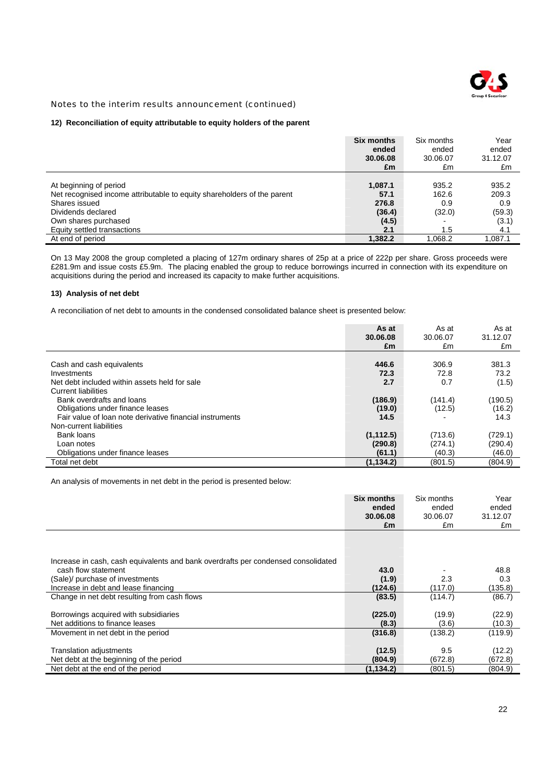

### **12) Reconciliation of equity attributable to equity holders of the parent**

|                                                                         | <b>Six months</b><br>ended | Six months<br>ended | Year<br>ended |
|-------------------------------------------------------------------------|----------------------------|---------------------|---------------|
|                                                                         | 30.06.08                   | 30.06.07            | 31.12.07      |
|                                                                         | £m                         | £m                  | £m            |
|                                                                         |                            |                     |               |
| At beginning of period                                                  | 1,087.1                    | 935.2               | 935.2         |
| Net recognised income attributable to equity shareholders of the parent | 57.1                       | 162.6               | 209.3         |
| Shares issued                                                           | 276.8                      | 0.9                 | 0.9           |
| Dividends declared                                                      | (36.4)                     | (32.0)              | (59.3)        |
| Own shares purchased                                                    | (4.5)                      |                     | (3.1)         |
| Equity settled transactions                                             | 2.1                        | 1.5                 | 4.1           |
| At end of period                                                        | 1,382.2                    | 1,068.2             | 1.087.1       |

On 13 May 2008 the group completed a placing of 127m ordinary shares of 25p at a price of 222p per share. Gross proceeds were £281.9m and issue costs £5.9m. The placing enabled the group to reduce borrowings incurred in connection with its expenditure on acquisitions during the period and increased its capacity to make further acquisitions.

### **13) Analysis of net debt**

A reconciliation of net debt to amounts in the condensed consolidated balance sheet is presented below:

|                                                          | As at<br>30.06.08<br>£m | As at<br>30.06.07<br>£m | As at<br>31.12.07<br>£m |
|----------------------------------------------------------|-------------------------|-------------------------|-------------------------|
|                                                          |                         |                         |                         |
| Cash and cash equivalents                                | 446.6                   | 306.9                   | 381.3                   |
| Investments                                              | 72.3                    | 72.8                    | 73.2                    |
| Net debt included within assets held for sale            | 2.7                     | 0.7                     | (1.5)                   |
| <b>Current liabilities</b>                               |                         |                         |                         |
| Bank overdrafts and loans                                | (186.9)                 | (141.4)                 | (190.5)                 |
| Obligations under finance leases                         | (19.0)                  | (12.5)                  | (16.2)                  |
| Fair value of loan note derivative financial instruments | 14.5                    |                         | 14.3                    |
| Non-current liabilities                                  |                         |                         |                         |
| Bank loans                                               | (1, 112.5)              | (713.6)                 | (729.1)                 |
| Loan notes                                               | (290.8)                 | (274.1)                 | (290.4)                 |
| Obligations under finance leases                         | (61.1)                  | (40.3)                  | (46.0)                  |
| Total net debt                                           | (1, 134.2)              | (801.5)                 | (804.9)                 |

An analysis of movements in net debt in the period is presented below:

|                                                                                   | Six months<br>ended<br>30.06.08<br>£m | Six months<br>ended<br>30.06.07<br>£m | Year<br>ended<br>31.12.07<br>£m |
|-----------------------------------------------------------------------------------|---------------------------------------|---------------------------------------|---------------------------------|
| Increase in cash, cash equivalents and bank overdrafts per condensed consolidated |                                       |                                       |                                 |
| cash flow statement                                                               | 43.0                                  |                                       | 48.8                            |
| (Sale)/ purchase of investments                                                   | (1.9)                                 | 2.3                                   | 0.3                             |
| Increase in debt and lease financing                                              | (124.6)                               | (117.0)                               | (135.8)                         |
| Change in net debt resulting from cash flows                                      | (83.5)                                | (114.7)                               | (86.7)                          |
| Borrowings acquired with subsidiaries<br>Net additions to finance leases          | (225.0)<br>(8.3)                      | (19.9)<br>(3.6)                       | (22.9)<br>(10.3)                |
| Movement in net debt in the period                                                | (316.8)                               | (138.2)                               | (119.9)                         |
| <b>Translation adjustments</b><br>Net debt at the beginning of the period         | (12.5)<br>(804.9)                     | 9.5<br>(672.8)                        | (12.2)<br>(672.8)               |
| Net debt at the end of the period                                                 | (1, 134.2)                            | (801.5)                               | (804.9)                         |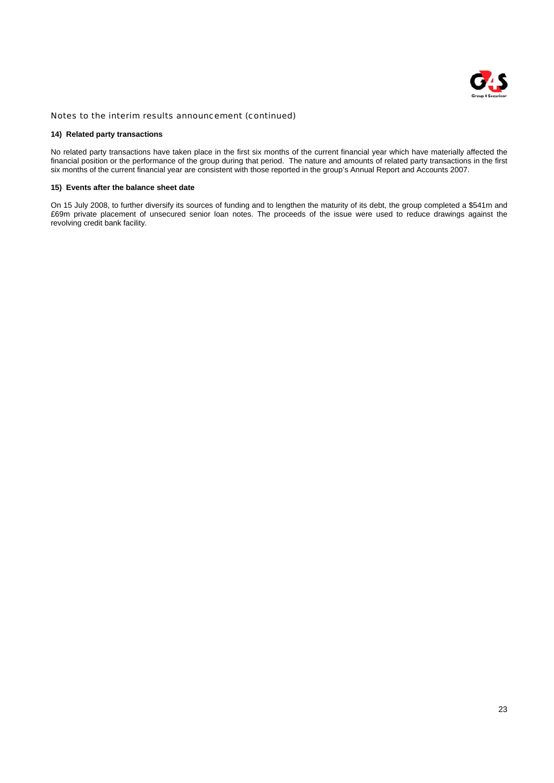

### **14) Related party transactions**

No related party transactions have taken place in the first six months of the current financial year which have materially affected the financial position or the performance of the group during that period. The nature and amounts of related party transactions in the first six months of the current financial year are consistent with those reported in the group's Annual Report and Accounts 2007.

### **15) Events after the balance sheet date**

On 15 July 2008, to further diversify its sources of funding and to lengthen the maturity of its debt, the group completed a \$541m and £69m private placement of unsecured senior loan notes. The proceeds of the issue were used to reduce drawings against the revolving credit bank facility.